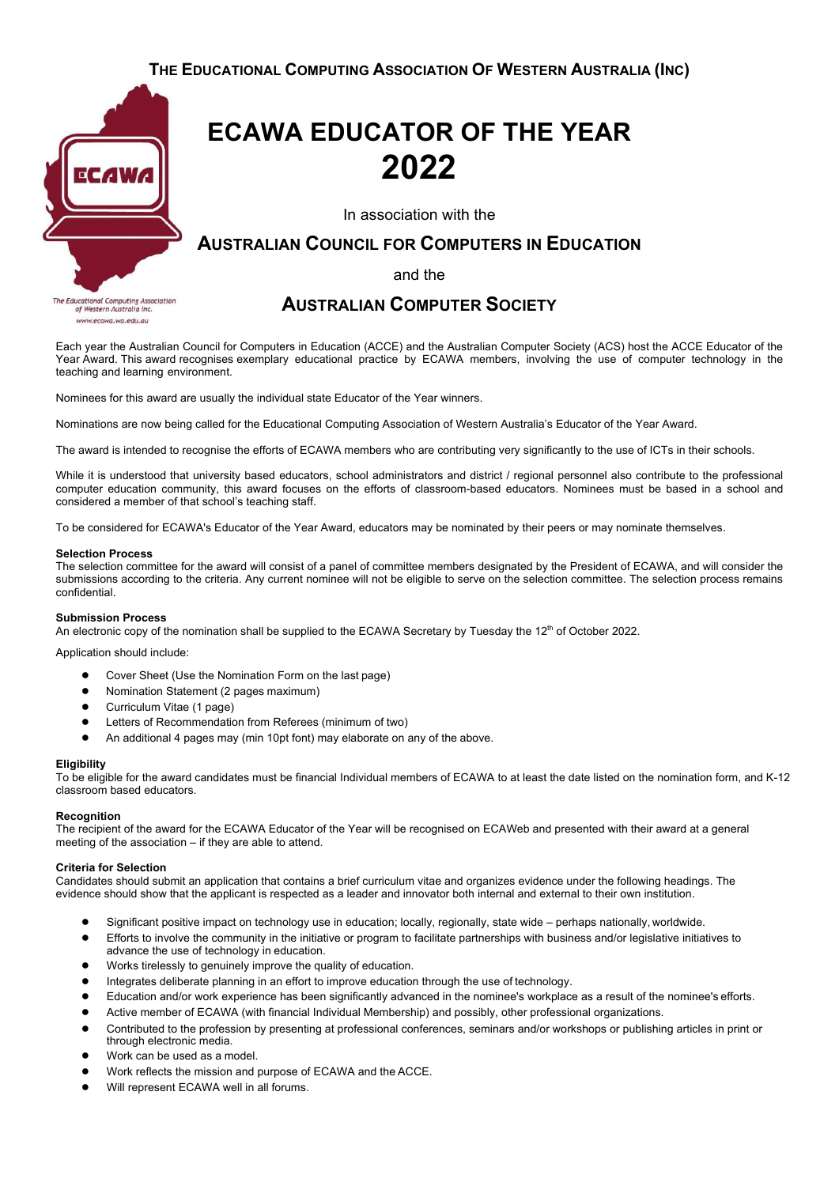

ucational Computing Association<br>of Western Australia Inc. www.ecawa.wa.edu.al

# **ECAWA EDUCATOR OF THE YEAR 2022**

In association with the

## **AUSTRALIAN COUNCIL FOR COMPUTERS IN EDUCATION**

and the

### **AUSTRALIAN COMPUTER SOCIETY**

Each year the Australian Council for Computers in Education (ACCE) and the Australian Computer Society (ACS) host the ACCE Educator of the Year Award. This award recognises exemplary educational practice by ECAWA members, involving the use of computer technology in the teaching and learning environment.

Nominees for this award are usually the individual state Educator of the Year winners.

Nominations are now being called for the Educational Computing Association of Western Australia's Educator of the Year Award.

The award is intended to recognise the efforts of ECAWA members who are contributing very significantly to the use of ICTs in their schools.

While it is understood that university based educators, school administrators and district / regional personnel also contribute to the professional computer education community, this award focuses on the efforts of classroom-based educators. Nominees must be based in a school and considered a member of that school's teaching staff.

To be considered for ECAWA's Educator of the Year Award, educators may be nominated by their peers or may nominate themselves.

#### **Selection Process**

The selection committee for the award will consist of a panel of committee members designated by the President of ECAWA, and will consider the submissions according to the criteria. Any current nominee will not be eligible to serve on the selection committee. The selection process remains confidential.

#### **Submission Process**

An electronic copy of the nomination shall be supplied to the ECAWA Secretary by Tuesday the 12<sup>th</sup> of October 2022.

Application should include:

- Cover Sheet (Use the Nomination Form on the last page)
- Nomination Statement (2 pages maximum)
- Curriculum Vitae (1 page)
- Letters of Recommendation from Referees (minimum of two)
- An additional 4 pages may (min 10pt font) may elaborate on any of the above.

#### **Eligibility**

To be eligible for the award candidates must be financial Individual members of ECAWA to at least the date listed on the nomination form, and K-12 classroom based educators.

#### **Recognition**

The recipient of the award for the ECAWA Educator of the Year will be recognised on ECAWeb and presented with their award at a general meeting of the association – if they are able to attend.

#### **Criteria for Selection**

Candidates should submit an application that contains a brief curriculum vitae and organizes evidence under the following headings. The evidence should show that the applicant is respected as a leader and innovator both internal and external to their own institution.

- Significant positive impact on technology use in education; locally, regionally, state wide perhaps nationally, worldwide.
- Efforts to involve the community in the initiative or program to facilitate partnerships with business and/or legislative initiatives to advance the use of technology in education.
- Works tirelessly to genuinely improve the quality of education.
- Integrates deliberate planning in an effort to improve education through the use of technology.
- Education and/or work experience has been significantly advanced in the nominee's workplace as a result of the nominee's efforts.
- Active member of ECAWA (with financial Individual Membership) and possibly, other professional organizations.
- Contributed to the profession by presenting at professional conferences, seminars and/or workshops or publishing articles in print or through electronic media.
- Work can be used as a model.
- Work reflects the mission and purpose of ECAWA and the ACCE.
- Will represent ECAWA well in all forums.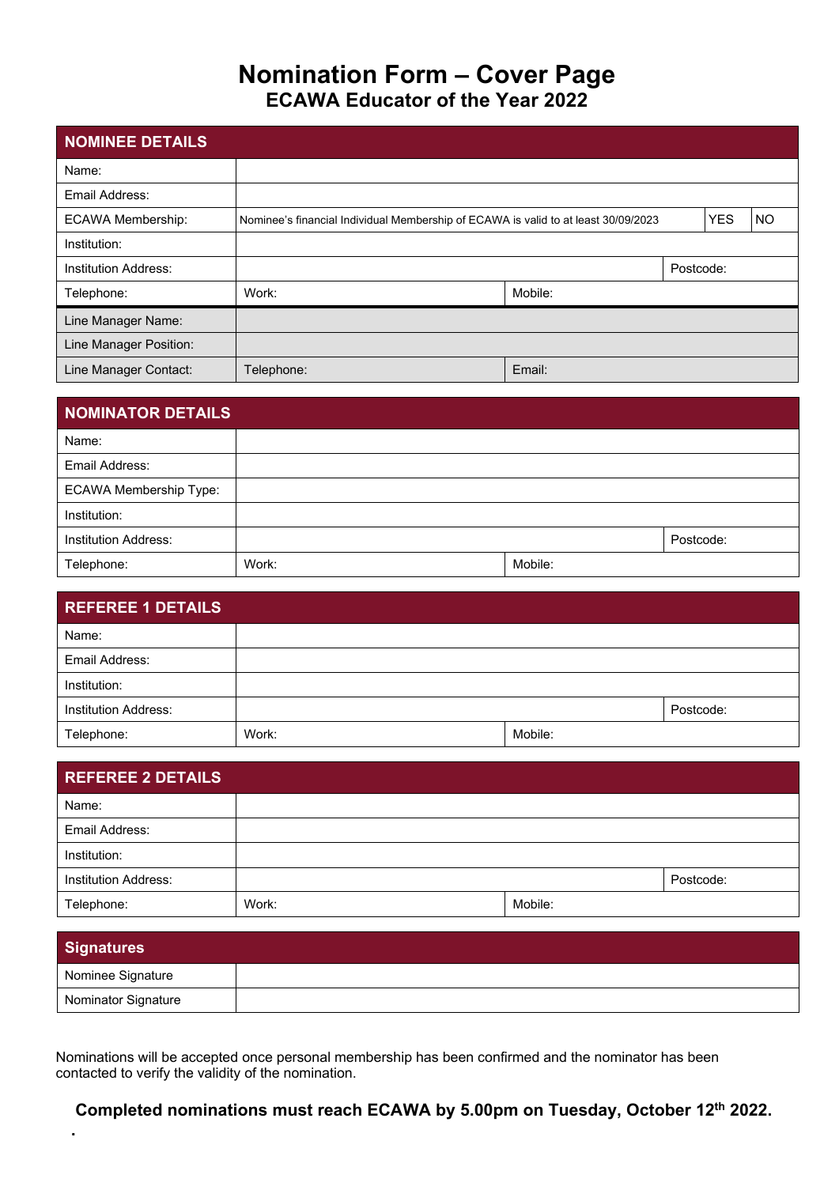## **Nomination Form – Cover Page ECAWA Educator of the Year 2022**

| NOMINEE DETAILS          |                                                                                    |         |           |            |           |
|--------------------------|------------------------------------------------------------------------------------|---------|-----------|------------|-----------|
| Name:                    |                                                                                    |         |           |            |           |
| Email Address:           |                                                                                    |         |           |            |           |
| <b>ECAWA Membership:</b> | Nominee's financial Individual Membership of ECAWA is valid to at least 30/09/2023 |         |           | <b>YES</b> | <b>NO</b> |
| Institution:             |                                                                                    |         |           |            |           |
| Institution Address:     |                                                                                    |         | Postcode: |            |           |
| Telephone:               | Work:                                                                              | Mobile: |           |            |           |
| Line Manager Name:       |                                                                                    |         |           |            |           |
| Line Manager Position:   |                                                                                    |         |           |            |           |
| Line Manager Contact:    | Telephone:                                                                         | Email:  |           |            |           |

| NOMINATOR DETAILS             |       |         |           |
|-------------------------------|-------|---------|-----------|
| Name:                         |       |         |           |
| Email Address:                |       |         |           |
| <b>ECAWA Membership Type:</b> |       |         |           |
| Institution:                  |       |         |           |
| <b>Institution Address:</b>   |       |         | Postcode: |
| Telephone:                    | Work: | Mobile: |           |

| <b>REFEREE 1 DETAILS</b>    |       |         |           |
|-----------------------------|-------|---------|-----------|
| Name:                       |       |         |           |
| Email Address:              |       |         |           |
| Institution:                |       |         |           |
| <b>Institution Address:</b> |       |         | Postcode: |
| Telephone:                  | Work: | Mobile: |           |

| <b>REFEREE 2 DETAILS</b>    |       |         |           |
|-----------------------------|-------|---------|-----------|
| Name:                       |       |         |           |
| Email Address:              |       |         |           |
| Institution:                |       |         |           |
| <b>Institution Address:</b> |       |         | Postcode: |
| Telephone:                  | Work: | Mobile: |           |

| <b>Signatures</b>   |  |
|---------------------|--|
| Nominee Signature   |  |
| Nominator Signature |  |

Nominations will be accepted once personal membership has been confirmed and the nominator has been contacted to verify the validity of the nomination.

**.**

**Completed nominations must reach ECAWA by 5.00pm on Tuesday, October 12th 2022.**